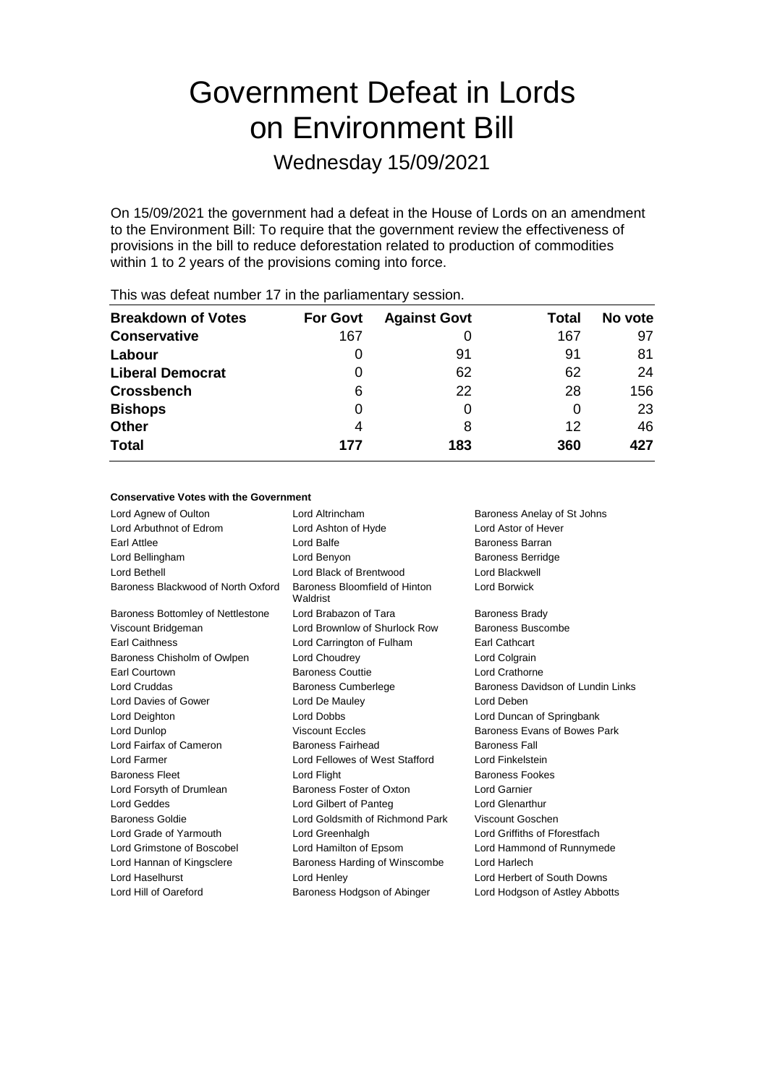# Government Defeat in Lords on Environment Bill

Wednesday 15/09/2021

On 15/09/2021 the government had a defeat in the House of Lords on an amendment to the Environment Bill: To require that the government review the effectiveness of provisions in the bill to reduce deforestation related to production of commodities within 1 to 2 years of the provisions coming into force.

| <b>Breakdown of Votes</b> | <b>For Govt</b> | <b>Against Govt</b> | <b>Total</b> | No vote |
|---------------------------|-----------------|---------------------|--------------|---------|
| <b>Conservative</b>       | 167             | 0                   | 167          | 97      |
| Labour                    |                 | 91                  | 91           | 81      |
| <b>Liberal Democrat</b>   |                 | 62                  | 62           | 24      |
| <b>Crossbench</b>         | 6               | 22                  | 28           | 156     |
| <b>Bishops</b>            |                 | 0                   |              | 23      |
| <b>Other</b>              | 4               | 8                   | 12           | 46      |
| <b>Total</b>              | 177             | 183                 | 360          | 427     |

This was defeat number 17 in the parliamentary session.

#### **Conservative Votes with the Government**

| Lord Agnew of Oulton               | Lord Altrincham<br>Baroness Anelay of St Johns    |                                   |  |
|------------------------------------|---------------------------------------------------|-----------------------------------|--|
| Lord Arbuthnot of Edrom            | <b>Lord Astor of Hever</b><br>Lord Ashton of Hyde |                                   |  |
| Earl Attlee                        | Lord Balfe                                        | Baroness Barran                   |  |
| Lord Bellingham                    | Lord Benyon                                       | <b>Baroness Berridge</b>          |  |
| Lord Bethell                       | Lord Black of Brentwood                           | Lord Blackwell                    |  |
| Baroness Blackwood of North Oxford | Baroness Bloomfield of Hinton<br>Waldrist         | Lord Borwick                      |  |
| Baroness Bottomley of Nettlestone  | Lord Brabazon of Tara                             | <b>Baroness Brady</b>             |  |
| Viscount Bridgeman                 | Lord Brownlow of Shurlock Row                     | Baroness Buscombe                 |  |
| <b>Earl Caithness</b>              | Lord Carrington of Fulham                         | <b>Earl Cathcart</b>              |  |
| Baroness Chisholm of Owlpen        | Lord Choudrey                                     | Lord Colgrain                     |  |
| <b>Earl Courtown</b>               | <b>Baroness Couttie</b>                           | Lord Crathorne                    |  |
| Lord Cruddas                       | <b>Baroness Cumberlege</b>                        | Baroness Davidson of Lundin Links |  |
| Lord Davies of Gower               | Lord De Mauley                                    | Lord Deben                        |  |
| Lord Deighton                      | Lord Dobbs                                        | Lord Duncan of Springbank         |  |
| Lord Dunlop                        | <b>Viscount Eccles</b>                            | Baroness Evans of Bowes Park      |  |
| Lord Fairfax of Cameron            | Baroness Fairhead                                 | <b>Baroness Fall</b>              |  |
| Lord Farmer                        | Lord Fellowes of West Stafford                    | Lord Finkelstein                  |  |
| <b>Baroness Fleet</b>              | Lord Flight                                       | <b>Baroness Fookes</b>            |  |
| Lord Forsyth of Drumlean           | Baroness Foster of Oxton                          | <b>Lord Garnier</b>               |  |
| Lord Geddes                        | Lord Gilbert of Panteg                            | <b>Lord Glenarthur</b>            |  |
| <b>Baroness Goldie</b>             | Lord Goldsmith of Richmond Park                   | Viscount Goschen                  |  |
| Lord Grade of Yarmouth             | Lord Greenhalgh                                   | Lord Griffiths of Fforestfach     |  |
| Lord Grimstone of Boscobel         | Lord Hamilton of Epsom                            | Lord Hammond of Runnymede         |  |
| Lord Hannan of Kingsclere          | Baroness Harding of Winscombe                     | Lord Harlech                      |  |
| Lord Haselhurst                    | Lord Henley                                       | Lord Herbert of South Downs       |  |
| Lord Hill of Oareford              | Baroness Hodgson of Abinger                       | Lord Hodgson of Astley Abbotts    |  |
|                                    |                                                   |                                   |  |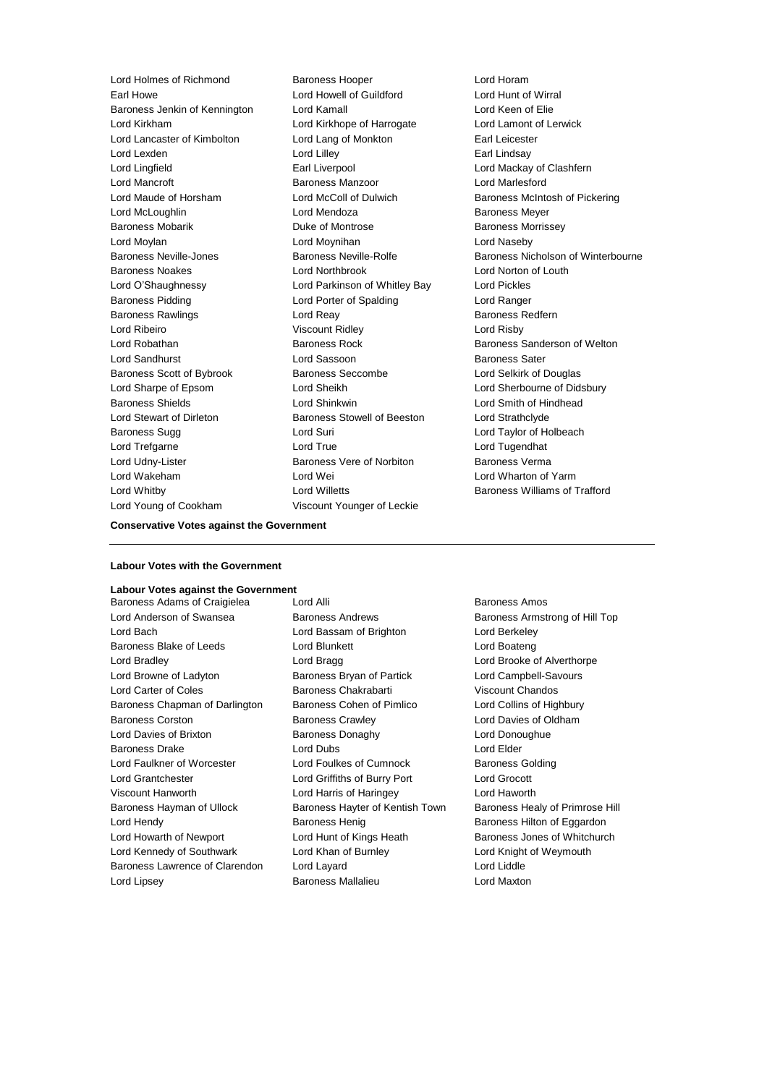Earl Howe Lord Howell of Guildford Lord Hunt of Wirral Baroness Jenkin of Kennington Lord Kamall Lord Keen of Elie Lord Kirkham Lord Kirkhope of Harrogate Lord Lamont of Lerwick Lord Lancaster of Kimbolton Lord Lang of Monkton Earl Leicester Lord Lexden **Lord Lilley** Lord Lilley **Communication** Earl Lindsay Lord Lingfield **Earl Liverpool** Earl Liverpool **Earl Lord Mackay of Clashfern** Lord Mancroft Baroness Manzoor Lord Marlesford Lord Maude of Horsham **Lord McColl of Dulwich Baroness McIntosh of Pickering** Lord McLoughlin **Lord Mendoza** Baroness Meyer Baroness Mobarik **Duke of Montrose** Baroness Morrissey **Baroness Morrissey** Lord Moylan Lord Moynihan Lord Naseby Baroness Neville-Jones Baroness Neville-Rolfe Baroness Nicholson of Winterbourne Baroness Noakes Lord Northbrook Lord Norton of Louth Lord O'Shaughnessy Lord Parkinson of Whitley Bay Lord Pickles Baroness Pidding Lord Porter of Spalding Lord Ranger Baroness Rawlings **Baroness Realists** Lord Reay **Baroness Redfern** Lord Ribeiro Viscount Ridley Lord Risby Lord Robathan Baroness Rock Baroness Sanderson of Welton Lord Sandhurst **Lord Sassoon** Baroness Sater Baroness Scott of Bybrook Baroness Seccombe Lord Selkirk of Douglas Lord Sharpe of Epsom Lord Sheikh Lord Sherbourne of Didsbury Baroness Shields Lord Shinkwin Lord Smith of Hindhead Lord Stewart of Dirleton Baroness Stowell of Beeston Lord Strathclyde Baroness Sugg 
and Lord Suri Cord Suri Cord Taylor of Holbeach Lord Trefgarne Lord True Lord Tugendhat Lord Udny-Lister **Baroness Vere of Norbiton** Baroness Verma Lord Wakeham **Lord Wei** Lord Wei **Lord Wharton of Yarm** Lord Whitby Lord Willetts Baroness Williams of Trafford Lord Young of Cookham Viscount Younger of Leckie

Lord Holmes of Richmond Baroness Hooper Correct Lord Horam

#### **Conservative Votes against the Government**

#### **Labour Votes with the Government**

### **Labour Votes against the Government**

Lord Anderson of Swansea **Baroness Andrews** Baroness Andrews Baroness Armstrong of Hill Top Lord Bach Lord Bassam of Brighton Lord Berkeley Baroness Blake of Leeds Lord Blunkett Lord Boateng Lord Boateng Lord Bradley **Lord Bragg Lord Brooke of Alverthorpe** Lord Bragg Lord Brooke of Alverthorpe Lord Browne of Ladyton Baroness Bryan of Partick Lord Campbell-Savours Lord Carter of Coles Baroness Chakrabarti Viscount Chandos Baroness Chapman of Darlington Baroness Cohen of Pimlico Lord Collins of Highbury Baroness Corston Baroness Crawley Lord Davies of Oldham Lord Davies of Brixton Baroness Donaghy Lord Donoughue Baroness Drake Lord Dubs Lord Elder Lord Faulkner of Worcester Lord Foulkes of Cumnock Baroness Golding Lord Grantchester Lord Griffiths of Burry Port Lord Grocott Viscount Hanworth Lord Harris of Haringey Lord Haworth Baroness Hayman of Ullock Baroness Hayter of Kentish Town Baroness Healy of Primrose Hill Lord Hendy **Baroness Henig** Baroness Henig Baroness Hilton of Eggardon Lord Howarth of Newport Lord Hunt of Kings Heath Baroness Jones of Whitchurch Lord Kennedy of Southwark Lord Khan of Burnley Lord Knight of Weymouth Baroness Lawrence of Clarendon Lord Layard Contract Lord Lord Liddle

Baroness Adams of Craigielea Lord Alli **Baroness Amos** Baroness Amos Lord Lipsey Baroness Mallalieu Lord Maxton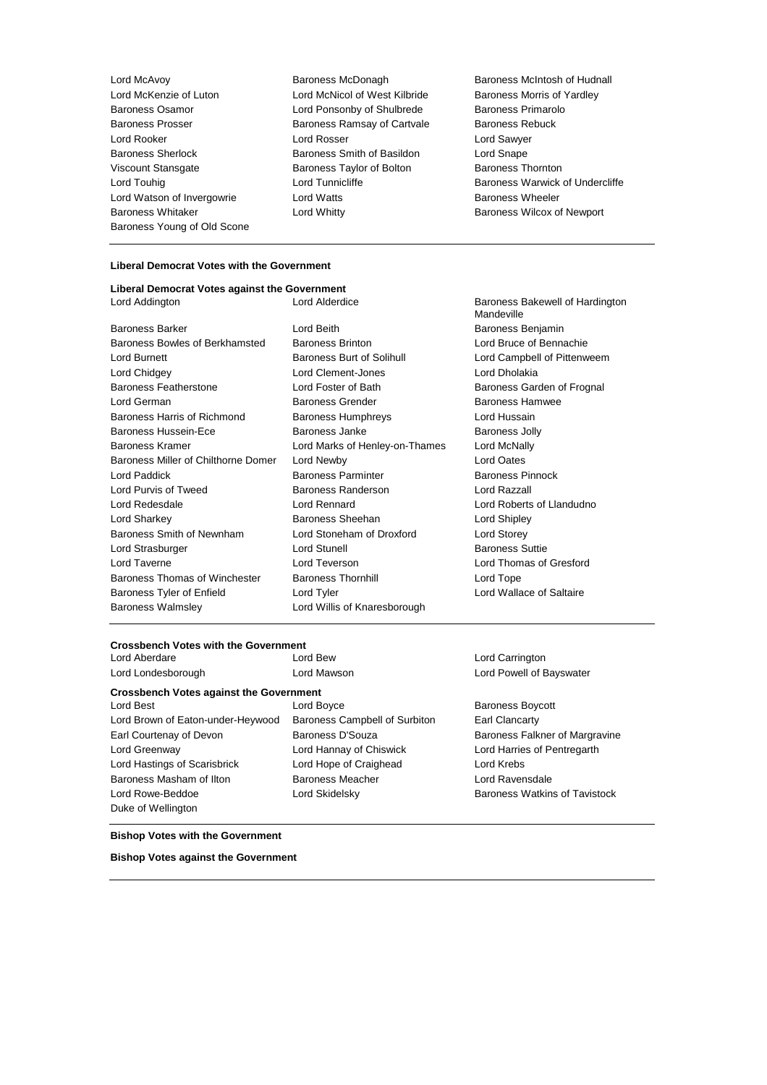Baroness Whitaker **Lord Whitty Lord Whitty Baroness Wilcox of Newport** Baroness Young of Old Scone

Lord McKenzie of Luton Lord McNicol of West Kilbride Baroness Morris of Yardley Baroness Osamor Lord Ponsonby of Shulbrede Baroness Primarolo Baroness Prosser **Baroness Ramsay of Cartvale** Baroness Rebuck Lord Rooker Lord Rosser Lord Sawyer Baroness Sherlock Baroness Smith of Basildon Lord Snape Viscount Stansgate **Baroness Taylor of Bolton** Baroness Thornton Lord Watson of Invergowrie **Lord Watts Baroness Wheeler** 

Lord McAvoy Baroness McDonagh Baroness McIntosh of Hudnall Lord Touhig **Lord Tunnicliffe** Baroness Warwick of Undercliffe

#### **Liberal Democrat Votes with the Government**

#### **Liberal Democrat Votes against the Government** Lord Addington Lord Alderdice Baroness Bakewell of Hardington

Baroness Bowles of Berkhamsted Baroness Brinton Lord Bruce of Bennachie Lord Burnett **Baroness Burt of Solihull** Lord Campbell of Pittenweem Lord Chidgey Lord Clement-Jones Lord Dholakia Baroness Featherstone **Lord Foster of Bath** Baroness Garden of Frognal Lord German **Baroness Grender** Baroness Hamwee Baroness Hamwee Baroness Harris of Richmond Baroness Humphreys Lord Hussain Baroness Hussein-Ece **Baroness** Janke Baroness Janke Baroness Jolly Baroness Kramer Lord Marks of Henley-on-Thames Lord McNally Baroness Miller of Chilthorne Domer Lord Newby Lord Cates Lord Paddick **Baroness Parminter** Baroness Parminter Baroness Pinnock Lord Purvis of Tweed Baroness Randerson Lord Razzall Lord Redesdale Lord Rennard Lord Roberts of Llandudno Lord Sharkey Baroness Sheehan Lord Shipley Baroness Smith of Newnham Lord Stoneham of Droxford Lord Storey Lord Strasburger Lord Stunell Baroness Suttie Lord Taverne Lord Teverson Lord Thomas of Gresford Baroness Thomas of Winchester Baroness Thornhill Lord Tope Baroness Tyler of Enfield Lord Tyler Lord Tyler Lord Wallace of Saltaire Baroness Walmsley **Lord Willis of Knaresborough** 

Baroness Barker **Lord Beith** Lord Beith Baroness Benjamin

Mandeville

### **Crossbench Votes with the Government**

### **Crossbench Votes against the Government**

Lord Brown of Eaton-under-Heywood Baroness Campbell of Surbiton Earl Clancarty Earl Courtenay of Devon **Baroness D'Souza** Baroness Falkner of Margravine Lord Greenway Lord Hannay of Chiswick Lord Harries of Pentregarth Lord Hastings of Scarisbrick Lord Hope of Craighead Lord Krebs Baroness Masham of Ilton **Baroness Meacher** Lord Ravensdale Lord Rowe-Beddoe **Lord Skidelsky** Baroness Watkins of Tavistock Duke of Wellington

Lord Best **Lord Boyce Baroness Boycott Baroness Boycott** 

Lord Carrington Lord Londesborough Lord Mawson Lord Powell of Bayswater

#### **Bishop Votes with the Government**

**Bishop Votes against the Government**